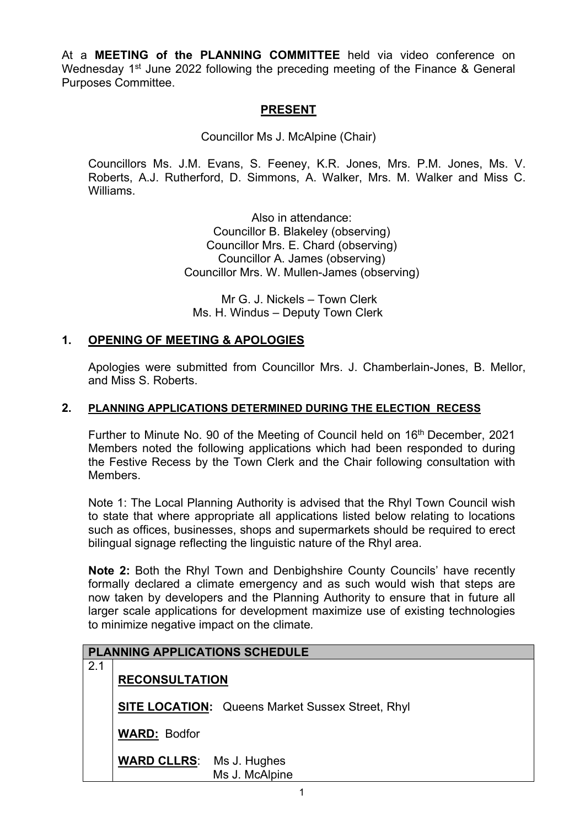At a **MEETING of the PLANNING COMMITTEE** held via video conference on Wednesday 1<sup>st</sup> June 2022 following the preceding meeting of the Finance & General Purposes Committee.

# **PRESENT**

Councillor Ms J. McAlpine (Chair)

Councillors Ms. J.M. Evans, S. Feeney, K.R. Jones, Mrs. P.M. Jones, Ms. V. Roberts, A.J. Rutherford, D. Simmons, A. Walker, Mrs. M. Walker and Miss C. Williams.

> Also in attendance: Councillor B. Blakeley (observing) Councillor Mrs. E. Chard (observing) Councillor A. James (observing) Councillor Mrs. W. Mullen-James (observing)

 Mr G. J. Nickels – Town Clerk Ms. H. Windus – Deputy Town Clerk

### **1. OPENING OF MEETING & APOLOGIES**

Apologies were submitted from Councillor Mrs. J. Chamberlain-Jones, B. Mellor, and Miss S. Roberts.

#### **2. PLANNING APPLICATIONS DETERMINED DURING THE ELECTION RECESS**

Further to Minute No. 90 of the Meeting of Council held on 16<sup>th</sup> December, 2021 Members noted the following applications which had been responded to during the Festive Recess by the Town Clerk and the Chair following consultation with Members.

Note 1: The Local Planning Authority is advised that the Rhyl Town Council wish to state that where appropriate all applications listed below relating to locations such as offices, businesses, shops and supermarkets should be required to erect bilingual signage reflecting the linguistic nature of the Rhyl area.

**Note 2:** Both the Rhyl Town and Denbighshire County Councils' have recently formally declared a climate emergency and as such would wish that steps are now taken by developers and the Planning Authority to ensure that in future all larger scale applications for development maximize use of existing technologies to minimize negative impact on the climate*.*

| <b>PLANNING APPLICATIONS SCHEDULE</b> |                                                         |  |  |  |
|---------------------------------------|---------------------------------------------------------|--|--|--|
| 2.1                                   | <b>RECONSULTATION</b>                                   |  |  |  |
|                                       | <b>SITE LOCATION:</b> Queens Market Sussex Street, Rhyl |  |  |  |
|                                       | <b>WARD: Bodfor</b>                                     |  |  |  |
|                                       | <b>WARD CLLRS:</b> Ms J. Hughes<br>Ms J. McAlpine       |  |  |  |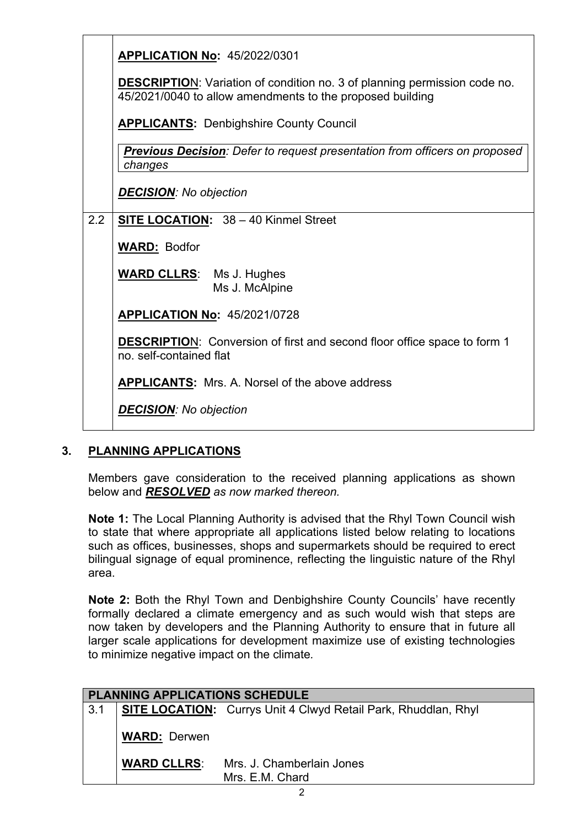|     | <b>APPLICATION No: 45/2022/0301</b>                                                                                                           |
|-----|-----------------------------------------------------------------------------------------------------------------------------------------------|
|     | <b>DESCRIPTION:</b> Variation of condition no. 3 of planning permission code no.<br>45/2021/0040 to allow amendments to the proposed building |
|     | <b>APPLICANTS: Denbighshire County Council</b>                                                                                                |
|     | <b>Previous Decision</b> : Defer to request presentation from officers on proposed<br>changes                                                 |
|     | <b>DECISION:</b> No objection                                                                                                                 |
| 2.2 | SITE LOCATION: 38 - 40 Kinmel Street                                                                                                          |
|     | <b>WARD: Bodfor</b>                                                                                                                           |
|     | <b>WARD CLLRS:</b> Ms J. Hughes<br>Ms J. McAlpine                                                                                             |
|     | <b>APPLICATION No: 45/2021/0728</b>                                                                                                           |
|     | <b>DESCRIPTION:</b> Conversion of first and second floor office space to form 1<br>no. self-contained flat                                    |
|     | <b>APPLICANTS:</b> Mrs. A. Norsel of the above address                                                                                        |
|     | <b>DECISION:</b> No objection                                                                                                                 |

## **3. PLANNING APPLICATIONS**

Members gave consideration to the received planning applications as shown below and *RESOLVED as now marked thereon.* 

**Note 1:** The Local Planning Authority is advised that the Rhyl Town Council wish to state that where appropriate all applications listed below relating to locations such as offices, businesses, shops and supermarkets should be required to erect bilingual signage of equal prominence, reflecting the linguistic nature of the Rhyl area.

**Note 2:** Both the Rhyl Town and Denbighshire County Councils' have recently formally declared a climate emergency and as such would wish that steps are now taken by developers and the Planning Authority to ensure that in future all larger scale applications for development maximize use of existing technologies to minimize negative impact on the climate*.*

| <b>PLANNING APPLICATIONS SCHEDULE</b> |                     |                                                                       |  |  |
|---------------------------------------|---------------------|-----------------------------------------------------------------------|--|--|
| 3.1                                   |                     | <b>SITE LOCATION:</b> Currys Unit 4 Clwyd Retail Park, Rhuddlan, Rhyl |  |  |
|                                       | <b>WARD: Derwen</b> |                                                                       |  |  |
|                                       | <b>WARD CLLRS:</b>  | Mrs. J. Chamberlain Jones<br>Mrs. E.M. Chard                          |  |  |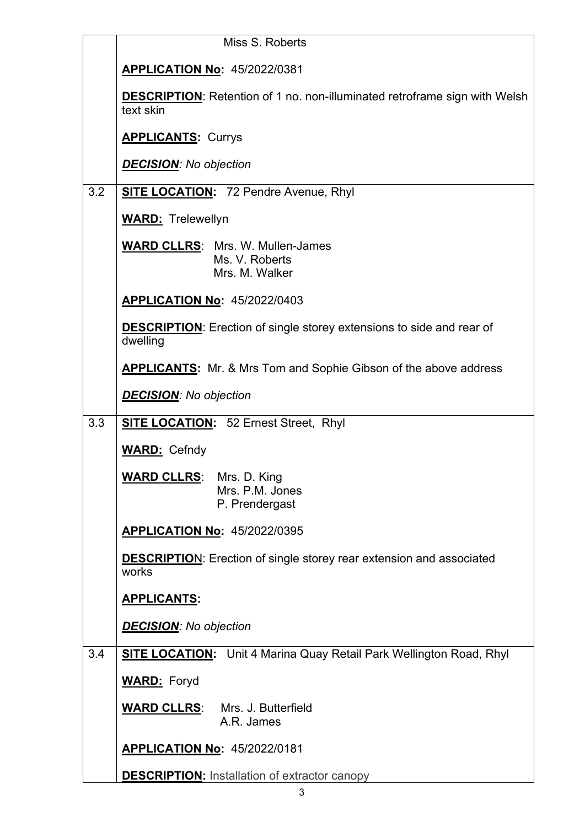|     | Miss S. Roberts                                                                                |
|-----|------------------------------------------------------------------------------------------------|
|     | <b>APPLICATION No: 45/2022/0381</b>                                                            |
|     | <b>DESCRIPTION:</b> Retention of 1 no. non-illuminated retroframe sign with Welsh<br>text skin |
|     | <b>APPLICANTS: Currys</b>                                                                      |
|     | <b>DECISION:</b> No objection                                                                  |
| 3.2 | <b>SITE LOCATION:</b> 72 Pendre Avenue, Rhyl                                                   |
|     | <b>WARD:</b> Trelewellyn                                                                       |
|     | <b>WARD CLLRS: Mrs. W. Mullen-James</b><br>Ms. V. Roberts<br>Mrs. M. Walker                    |
|     | <b>APPLICATION No: 45/2022/0403</b>                                                            |
|     | <b>DESCRIPTION:</b> Erection of single storey extensions to side and rear of<br>dwelling       |
|     | <b>APPLICANTS:</b> Mr. & Mrs Tom and Sophie Gibson of the above address                        |
|     | <b>DECISION:</b> No objection                                                                  |
| 3.3 | <b>SITE LOCATION:</b> 52 Ernest Street, Rhyl                                                   |
|     | <b>WARD:</b> Cefndy                                                                            |
|     | <b>WARD CLLRS:</b> Mrs. D. King<br>Mrs. P.M. Jones<br>P. Prendergast                           |
|     | <b>APPLICATION No: 45/2022/0395</b>                                                            |
|     | <b>DESCRIPTION:</b> Erection of single storey rear extension and associated<br>works           |
|     | <u>APPLICANTS:</u>                                                                             |
|     | <b>DECISION:</b> No objection                                                                  |
| 3.4 | <b>SITE LOCATION:</b> Unit 4 Marina Quay Retail Park Wellington Road, Rhyl                     |
|     | <b>WARD:</b> Foryd                                                                             |
|     | <b>WARD CLLRS:</b><br>Mrs. J. Butterfield<br>A.R. James                                        |
|     | <b>APPLICATION No: 45/2022/0181</b>                                                            |
|     | <b>DESCRIPTION:</b> Installation of extractor canopy                                           |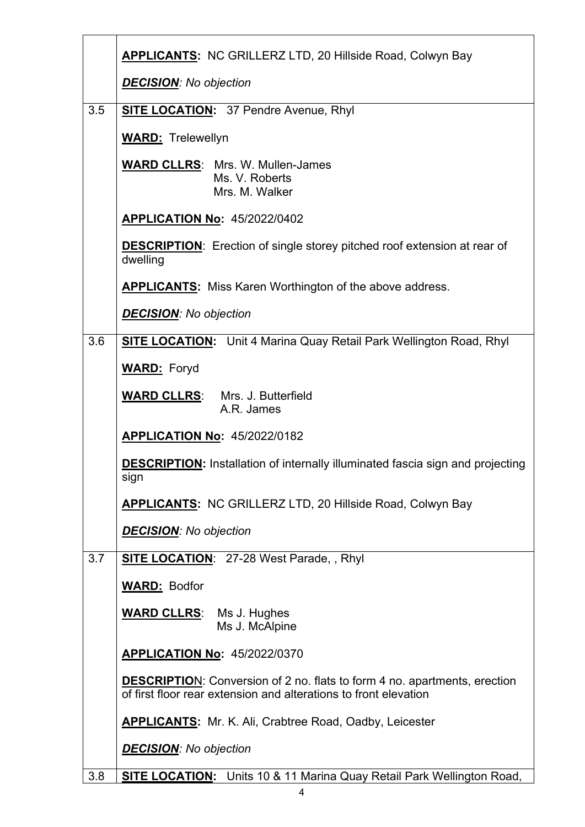|     | APPLICANTS: NC GRILLERZ LTD, 20 Hillside Road, Colwyn Bay                                                                                            |
|-----|------------------------------------------------------------------------------------------------------------------------------------------------------|
|     | <b>DECISION:</b> No objection                                                                                                                        |
| 3.5 | <b>SITE LOCATION:</b> 37 Pendre Avenue, Rhyl                                                                                                         |
|     | <b>WARD:</b> Trelewellyn                                                                                                                             |
|     | <b>WARD CLLRS: Mrs. W. Mullen-James</b><br>Ms. V. Roberts<br>Mrs. M. Walker                                                                          |
|     | <b>APPLICATION No: 45/2022/0402</b>                                                                                                                  |
|     | <b>DESCRIPTION:</b> Erection of single storey pitched roof extension at rear of<br>dwelling                                                          |
|     | <b>APPLICANTS:</b> Miss Karen Worthington of the above address.                                                                                      |
|     | <b>DECISION: No objection</b>                                                                                                                        |
| 3.6 | <b>SITE LOCATION:</b> Unit 4 Marina Quay Retail Park Wellington Road, Rhyl                                                                           |
|     | <b>WARD:</b> Foryd                                                                                                                                   |
|     | <b>WARD CLLRS:</b><br>Mrs. J. Butterfield<br>A.R. James                                                                                              |
|     | <b>APPLICATION No: 45/2022/0182</b>                                                                                                                  |
|     | <b>DESCRIPTION:</b> Installation of internally illuminated fascia sign and projecting<br>sign                                                        |
|     | <b>APPLICANTS: NC GRILLERZ LTD, 20 Hillside Road, Colwyn Bay</b>                                                                                     |
|     | <b>DECISION:</b> No objection                                                                                                                        |
| 3.7 | <b>SITE LOCATION: 27-28 West Parade, , Rhyl</b>                                                                                                      |
|     | <b>WARD: Bodfor</b>                                                                                                                                  |
|     | <b>WARD CLLRS:</b> Ms J. Hughes<br>Ms J. McAlpine                                                                                                    |
|     | <b>APPLICATION No: 45/2022/0370</b>                                                                                                                  |
|     | <b>DESCRIPTION:</b> Conversion of 2 no. flats to form 4 no. apartments, erection<br>of first floor rear extension and alterations to front elevation |
|     | <b>APPLICANTS:</b> Mr. K. Ali, Crabtree Road, Oadby, Leicester                                                                                       |
|     | <b>DECISION:</b> No objection                                                                                                                        |
| 3.8 | <b>SITE LOCATION:</b> Units 10 & 11 Marina Quay Retail Park Wellington Road,                                                                         |
|     | 4                                                                                                                                                    |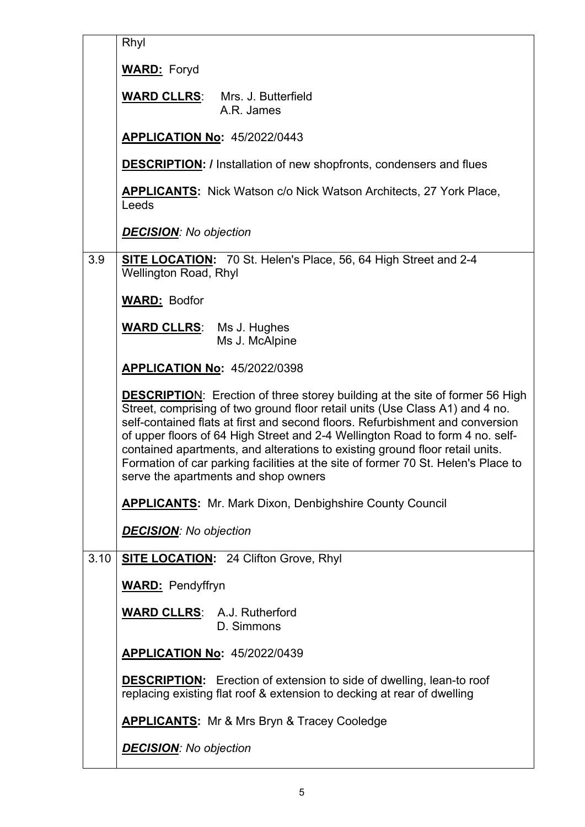|      | Rhyl                                                                                                                                                                                                                                                                                                                                                                                                                                                                                                                                               |
|------|----------------------------------------------------------------------------------------------------------------------------------------------------------------------------------------------------------------------------------------------------------------------------------------------------------------------------------------------------------------------------------------------------------------------------------------------------------------------------------------------------------------------------------------------------|
|      | <b>WARD:</b> Foryd                                                                                                                                                                                                                                                                                                                                                                                                                                                                                                                                 |
|      | <b>WARD CLLRS:</b><br>Mrs. J. Butterfield<br>A.R. James                                                                                                                                                                                                                                                                                                                                                                                                                                                                                            |
|      | <b>APPLICATION No: 45/2022/0443</b>                                                                                                                                                                                                                                                                                                                                                                                                                                                                                                                |
|      | <b>DESCRIPTION:</b> / Installation of new shopfronts, condensers and flues                                                                                                                                                                                                                                                                                                                                                                                                                                                                         |
|      | <b>APPLICANTS:</b> Nick Watson c/o Nick Watson Architects, 27 York Place,<br>Leeds                                                                                                                                                                                                                                                                                                                                                                                                                                                                 |
|      | <b>DECISION:</b> No objection                                                                                                                                                                                                                                                                                                                                                                                                                                                                                                                      |
| 3.9  | SITE LOCATION: 70 St. Helen's Place, 56, 64 High Street and 2-4<br><b>Wellington Road, Rhyl</b>                                                                                                                                                                                                                                                                                                                                                                                                                                                    |
|      | <b>WARD: Bodfor</b>                                                                                                                                                                                                                                                                                                                                                                                                                                                                                                                                |
|      | <b>WARD CLLRS:</b> Ms J. Hughes<br>Ms J. McAlpine                                                                                                                                                                                                                                                                                                                                                                                                                                                                                                  |
|      | <b>APPLICATION No: 45/2022/0398</b>                                                                                                                                                                                                                                                                                                                                                                                                                                                                                                                |
|      | <b>DESCRIPTION:</b> Erection of three storey building at the site of former 56 High<br>Street, comprising of two ground floor retail units (Use Class A1) and 4 no.<br>self-contained flats at first and second floors. Refurbishment and conversion<br>of upper floors of 64 High Street and 2-4 Wellington Road to form 4 no. self-<br>contained apartments, and alterations to existing ground floor retail units.<br>Formation of car parking facilities at the site of former 70 St. Helen's Place to<br>serve the apartments and shop owners |
|      | <b>APPLICANTS:</b> Mr. Mark Dixon, Denbighshire County Council                                                                                                                                                                                                                                                                                                                                                                                                                                                                                     |
|      | <b>DECISION:</b> No objection                                                                                                                                                                                                                                                                                                                                                                                                                                                                                                                      |
| 3.10 | <b>SITE LOCATION: 24 Clifton Grove, Rhyl</b>                                                                                                                                                                                                                                                                                                                                                                                                                                                                                                       |
|      | <b>WARD:</b> Pendyffryn                                                                                                                                                                                                                                                                                                                                                                                                                                                                                                                            |
|      | <b>WARD CLLRS: A.J. Rutherford</b><br>D. Simmons                                                                                                                                                                                                                                                                                                                                                                                                                                                                                                   |
|      | <b>APPLICATION No: 45/2022/0439</b>                                                                                                                                                                                                                                                                                                                                                                                                                                                                                                                |
|      | <b>DESCRIPTION:</b> Erection of extension to side of dwelling, lean-to roof<br>replacing existing flat roof & extension to decking at rear of dwelling                                                                                                                                                                                                                                                                                                                                                                                             |
|      | <b>APPLICANTS:</b> Mr & Mrs Bryn & Tracey Cooledge                                                                                                                                                                                                                                                                                                                                                                                                                                                                                                 |
|      | <b>DECISION:</b> No objection                                                                                                                                                                                                                                                                                                                                                                                                                                                                                                                      |